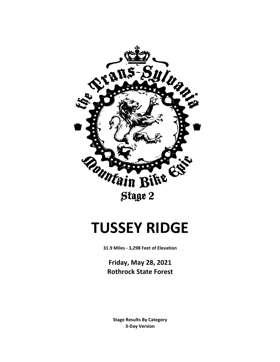

# **TUSSEY RIDGE**

**31.9 Miles - 3,298 Feet of Elevation**

**Friday, May 28, 2021 Rothrock State Forest**

**3-Day Version Stage Results By Category**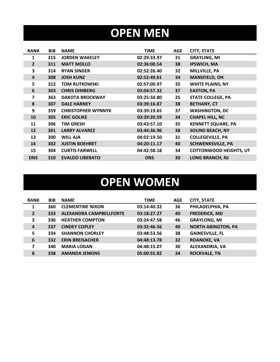# **OPEN MEN**

| <b>RANK</b>    | <b>BIB</b> | <b>NAME</b>               | <b>TIME</b> | <b>AGE</b> | <b>CITY, STATE</b>            |
|----------------|------------|---------------------------|-------------|------------|-------------------------------|
| 1              | 315        | <b>JORDEN WAKELEY</b>     | 02:29:33.97 | 31         | <b>GRAYLING, MI</b>           |
| $2^{1}$        | 311        | <b>MATT MOLLO</b>         | 02:36:00.54 | 38         | <b>IPSWICH, MA</b>            |
| 3              | 314        | <b>RYAN SINGER</b>        | 02:52:26.40 | 32         | MILLVILLE, PA                 |
| 4              | 308        | <b>JOSH KUNZ</b>          | 02:52:49.61 | 34         | <b>MANSFIELD, OH</b>          |
| 5              | 312        | <b>TOM RUTKOWSKI</b>      | 02:57:00.97 | 35         | <b>WHITE PLAINS, NY</b>       |
| 6              | 303        | <b>CHRIS DIMBERG</b>      | 03:04:57.32 | 37         | <b>EASTON, PA</b>             |
| $\overline{ }$ | 363        | <b>DAKOTA BROCKWAY</b>    | 03:25:50.80 | 25         | <b>STATE COLLEGE, PA</b>      |
| 8              | 307        | <b>DALE HARNEY</b>        | 03:39:16.87 | 38         | <b>BETHANY, CT</b>            |
| 9              | 359        | <b>CHRISTOPHER WYNNYK</b> | 03:39:19.65 | 37         | <b>WASHINGTON, DC</b>         |
| 10             | 305        | <b>ERIC GOLIKE</b>        | 03:39:20.59 | 34         | <b>CHAPEL HILL, NC</b>        |
| 11             | 306        | <b>TIM GRESH</b>          | 03:43:57.10 | 35         | <b>KENNETT SQUARE, PA</b>     |
| 12             | 301        | <b>LARRY ALVAREZ</b>      | 03:44:36.96 | 38         | <b>SOUND BEACH, NY</b>        |
| 13             | 300        | <b>WILL AJA</b>           | 04:02:19.50 | 31         | <b>COLLEGEVILLE, PA</b>       |
| 14             | 302        | <b>JUSTIN BOEHRET</b>     | 04:20:11.17 | 40         | <b>SCHWENKSVILLE, PA</b>      |
| 15             | 304        | <b>CURTIS FARWELL</b>     | 04:42:58.18 | 34         | <b>COTTONWOOD HEIGHTS, UT</b> |
| <b>DNS</b>     | 310        | <b>EVALDO LIBERATO</b>    | <b>DNS</b>  | 30         | <b>LONG BRANCH, NJ</b>        |

# **OPEN WOMEN**

| <b>RANK</b>    | <b>BIB</b> | <b>NAME</b>                    | <b>TIME</b> | <b>AGE</b> | <b>CITY, STATE</b>        |
|----------------|------------|--------------------------------|-------------|------------|---------------------------|
| $\mathbf{1}$   | 360        | <b>CLEMENTINE NIXON</b>        | 03:14:40.32 | 36         | PHILADELPHIA, PA          |
| $\overline{2}$ | 333        | <b>ALEXANDRA CAMPBELLFORTE</b> | 03:18:27.27 | 40         | <b>FREDERICK, MD</b>      |
| 3              | 336        | <b>HEATHER COMPTON</b>         | 03:24:47.58 | 46         | <b>GRAYLONG, MI</b>       |
| $\overline{4}$ | 337        | <b>CINDEY COPLEY</b>           | 03:32:46.56 | 40         | <b>NORTH ABINGTON, PA</b> |
| 5              | 334        | <b>SHANNON CHORLEY</b>         | 03:48:53.56 | 38         | <b>GAINESVILLE, FL</b>    |
| 6              | 332        | <b>ERIN BREISACHER</b>         | 04:48:13.78 | 32         | <b>ROANOKE, VA</b>        |
| 7              | 340        | <b>MARIA LOGAN</b>             | 04:48:15.07 | 30         | <b>ALEXANDRIA, VA</b>     |
| 8              | 338        | <b>AMANDA JENKINS</b>          | 05:00:55.82 | 34         | <b>ROCKVALE, TN</b>       |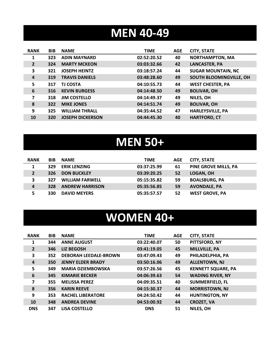## **MEN 40-49**

| <b>RANK</b>    | <b>BIB</b> | <b>NAME</b>             | <b>TIME</b> | <b>AGE</b> | <b>CITY, STATE</b>        |
|----------------|------------|-------------------------|-------------|------------|---------------------------|
| 1              | 323        | <b>ADIN MAYNARD</b>     | 02:52:20.52 | 40         | <b>NORTHAMPTON, MA</b>    |
| $\overline{2}$ | 324        | <b>MARTY MCKEON</b>     | 03:03:32.66 | 42         | <b>LANCASTER, PA</b>      |
| 3              | 321        | <b>JOSEPH HEINTZ</b>    | 03:18:57.24 | 44         | <b>SUGAR MOUNTAIN, NC</b> |
| $\overline{a}$ | 319        | <b>TRAVIS DANIELS</b>   | 03:48:28.60 | 49         | SOUTH BLOOMINGVILLE, OH   |
| 5              | 317        | <b>TJ COSTA</b>         | 04:10:55.73 | 44         | <b>WEST CHESTER, PA</b>   |
| 6              | 316        | <b>KEVIN BURGESS</b>    | 04:14:48.50 | 49         | <b>BOLIVAR, OH</b>        |
| 7              | 318        | <b>JIM COSTELLO</b>     | 04:14:49.37 | 49         | NILES, OH                 |
| 8              | 322        | <b>MIKE JONES</b>       | 04:14:51.74 | 49         | <b>BOLIVAR, OH</b>        |
| 9              | 325        | <b>WILLIAM THRALL</b>   | 04:35:44.52 | 47         | <b>HARLEYSVILLE, PA</b>   |
| 10             | 320        | <b>JOSEPH DICKERSON</b> | 04:44:45.30 | 40         | <b>HARTFORD, CT</b>       |

#### **MEN 50+**

| <b>RANK</b> | <b>BIB</b> | <b>NAME</b>            | <b>TIME</b> | <b>AGE</b> | <b>CITY, STATE</b>          |
|-------------|------------|------------------------|-------------|------------|-----------------------------|
|             | 329        | <b>ERIK LENZING</b>    | 03:37:25.99 | 61         | <b>PINE GROVE MILLS, PA</b> |
|             | 326        | <b>DON BUCKLEY</b>     | 03:39:20.25 | 52         | LOGAN, OH                   |
| 3           | 327        | <b>WILLIAM FARWELL</b> | 05:15:35.82 | 59         | <b>BOALSBURG, PA</b>        |
| 4           | 328        | <b>ANDREW HARRISON</b> | 05:35:56.85 | 59         | <b>AVONDALE, PA</b>         |
|             | 330        | <b>DAVID MEYERS</b>    | 05:35:57.57 | 52         | <b>WEST GROVE, PA</b>       |

#### **WOMEN 40+**

| <b>RANK</b>    | <b>BIB</b> | <b>NAME</b>                  | <b>TIME</b> | <b>AGE</b> | <b>CITY, STATE</b>        |
|----------------|------------|------------------------------|-------------|------------|---------------------------|
| 1              | 344        | <b>ANNE AUGUST</b>           | 03:22:40.07 | 50         | PITTSFORD, NY             |
| $\overline{2}$ | 346        | <b>LIZ BEGOSH</b>            | 03:41:19.05 | 45         | <b>MILLVILLE, PA</b>      |
| 3              | 352        | <b>DEBORAH LEEDALE-BROWN</b> | 03:47:09.43 | 49         | PHILADELPHIA, PA          |
| 4              | 350        | <b>JENNY ELDER BRADY</b>     | 03:50:16.06 | 49         | <b>ALLENTOWN, NJ</b>      |
| 5              | 349        | <b>MARIA DZIEMBOWSKA</b>     | 03:57:26.56 | 45         | <b>KENNETT SQUARE, PA</b> |
| 6              | 345        | <b>KIMARIE BECKER</b>        | 04:06:39.63 | 54         | <b>WADING RIVER, NY</b>   |
| 7              | 355        | <b>MELISSA PEREZ</b>         | 04:09:35.51 | 40         | <b>SUMMERFIELD, FL</b>    |
| 8              | 356        | <b>KARIN REEVE</b>           | 04:15:30.37 | 44         | <b>MORRISTOWN, NJ</b>     |
| 9              | 353        | <b>RACHEL LIBERATORE</b>     | 04:24:50.42 | 44         | <b>HUNTINGTON, NY</b>     |
| 10             | 348        | <b>ANDREA DEVINE</b>         | 04:53:00.92 | 44         | <b>CROZET, VA</b>         |
| <b>DNS</b>     | 347        | <b>LISA COSTELLO</b>         | <b>DNS</b>  | 51         | NILES, OH                 |